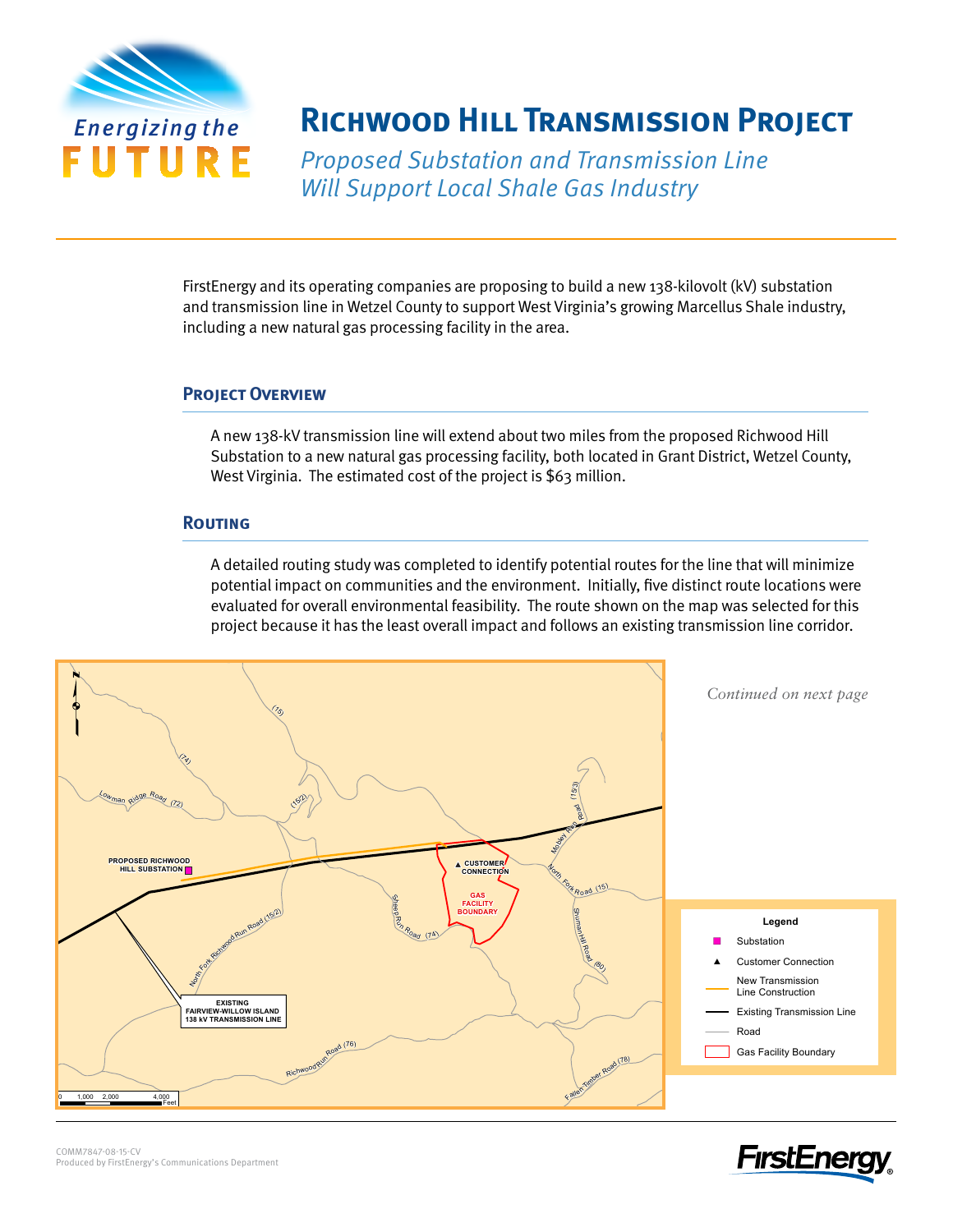

# *Energizing the* **Richwood Hill Transmission Project**

Proposed Substation and Transmission Line Will Support Local Shale Gas Industry

FirstEnergy and its operating companies are proposing to build a new 138-kilovolt (kV) substation and transmission line in Wetzel County to support West Virginia's growing Marcellus Shale industry, including a new natural gas processing facility in the area.

## **Project Overview**

A new 138-kV transmission line will extend about two miles from the proposed Richwood Hill Substation to a new natural gas processing facility, both located in Grant District, Wetzel County, West Virginia. The estimated cost of the project is \$63 million.

# **Routing**

A detailed routing study was completed to identify potential routes for the line that will minimize potential impact on communities and the environment. Initially, five distinct route locations were evaluated for overall environmental feasibility. The route shown on the map was selected for this project because it has the least overall impact and follows an existing transmission line corridor.<br>